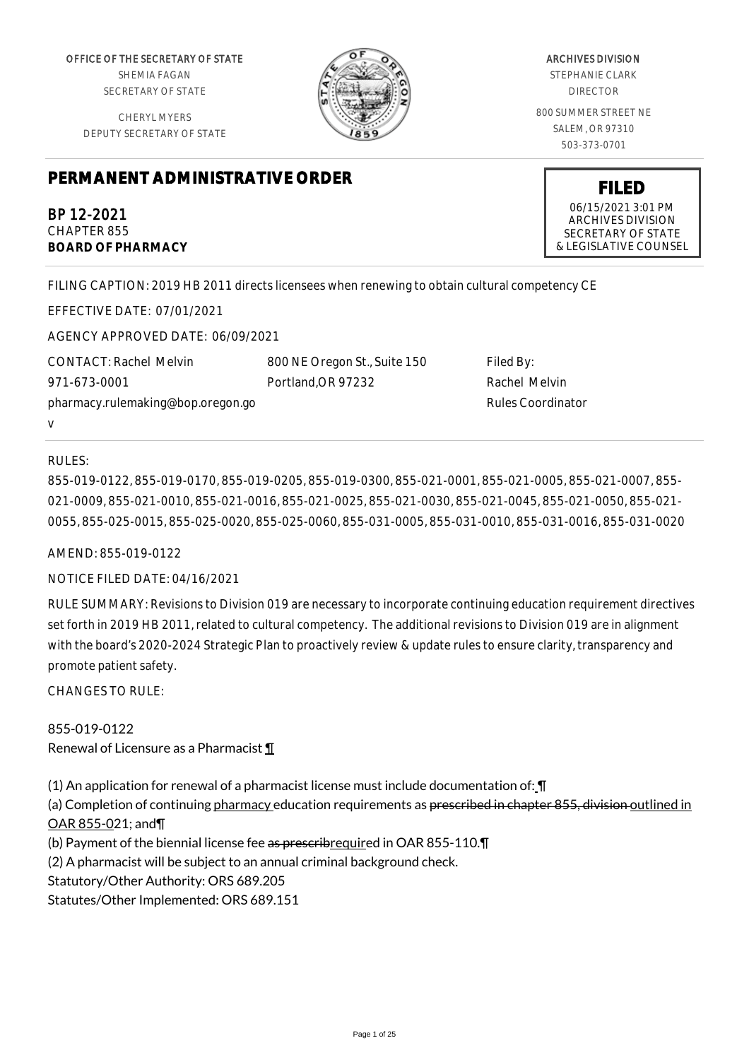OFFICE OF THE SECRETARY OF STATE SHEMIA FAGAN

SECRETARY OF STATE

CHERYL MYERS DEPUTY SECRETARY OF STATE



ARCHIVES DIVISION STEPHANIE CLARK DIRECTOR 800 SUMMER STREET NE SALEM, OR 97310 503-373-0701

> **FILED** 06/15/2021 3:01 PM ARCHIVES DIVISION SECRETARY OF STATE & LEGISLATIVE COUNSEL

# **PERMANENT ADMINISTRATIVE ORDER**

BP 12-2021 CHAPTER 855 **BOARD OF PHARMACY**

FILING CAPTION: 2019 HB 2011 directs licensees when renewing to obtain cultural competency CE

EFFECTIVE DATE: 07/01/2021 AGENCY APPROVED DATE: 06/09/2021

CONTACT: Rachel Melvin 971-673-0001 pharmacy.rulemaking@bop.oregon.go v

800 NE Oregon St., Suite 150 Portland,OR 97232

Filed By: Rachel Melvin Rules Coordinator

## RULES:

855-019-0122, 855-019-0170, 855-019-0205, 855-019-0300, 855-021-0001, 855-021-0005, 855-021-0007, 855- 021-0009, 855-021-0010, 855-021-0016, 855-021-0025, 855-021-0030, 855-021-0045, 855-021-0050, 855-021- 0055, 855-025-0015, 855-025-0020, 855-025-0060, 855-031-0005, 855-031-0010, 855-031-0016, 855-031-0020

AMEND: 855-019-0122

#### NOTICE FILED DATE: 04/16/2021

RULE SUMMARY: Revisions to Division 019 are necessary to incorporate continuing education requirement directives set forth in 2019 HB 2011, related to cultural competency. The additional revisions to Division 019 are in alignment with the board's 2020-2024 Strategic Plan to proactively review & update rules to ensure clarity, transparency and promote patient safety.

CHANGES TO RULE:

855-019-0122 Renewal of Licensure as a Pharmacist ¶

(1) An application for renewal of a pharmacist license must include documentation of: ¶

(a) Completion of continuing pharmacy education requirements as prescribed in chapter 855, division outlined in OAR 855-021; and¶

(b) Payment of the biennial license fee as prescribrequired in OAR 855-110.

(2) A pharmacist will be subject to an annual criminal background check.

Statutory/Other Authority: ORS 689.205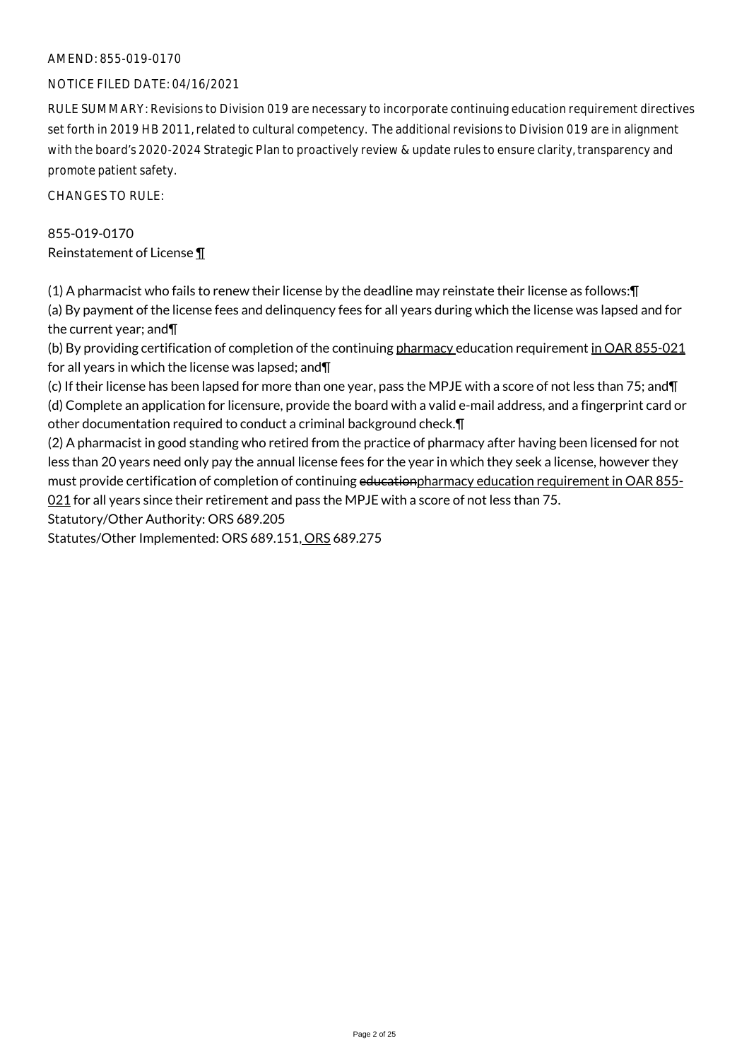#### AMEND: 855-019-0170

#### NOTICE FILED DATE: 04/16/2021

RULE SUMMARY: Revisions to Division 019 are necessary to incorporate continuing education requirement directives set forth in 2019 HB 2011, related to cultural competency. The additional revisions to Division 019 are in alignment with the board's 2020-2024 Strategic Plan to proactively review & update rules to ensure clarity, transparency and promote patient safety.

CHANGES TO RULE:

# 855-019-0170 Reinstatement of License ¶

(1) A pharmacist who fails to renew their license by the deadline may reinstate their license as follows:¶ (a) By payment of the license fees and delinquency fees for all years during which the license was lapsed and for the current year; and¶

(b) By providing certification of completion of the continuing pharmacy education requirement in OAR 855-021 for all years in which the license was lapsed; and¶

(c) If their license has been lapsed for more than one year, pass the MPJE with a score of not less than 75; and¶ (d) Complete an application for licensure, provide the board with a valid e-mail address, and a fingerprint card or other documentation required to conduct a criminal background check.¶

(2) A pharmacist in good standing who retired from the practice of pharmacy after having been licensed for not less than 20 years need only pay the annual license fees for the year in which they seek a license, however they must provide certification of completion of continuing educationpharmacy education requirement in OAR 855-021 for all years since their retirement and pass the MPJE with a score of not less than 75.

Statutory/Other Authority: ORS 689.205

Statutes/Other Implemented: ORS 689.151, ORS 689.275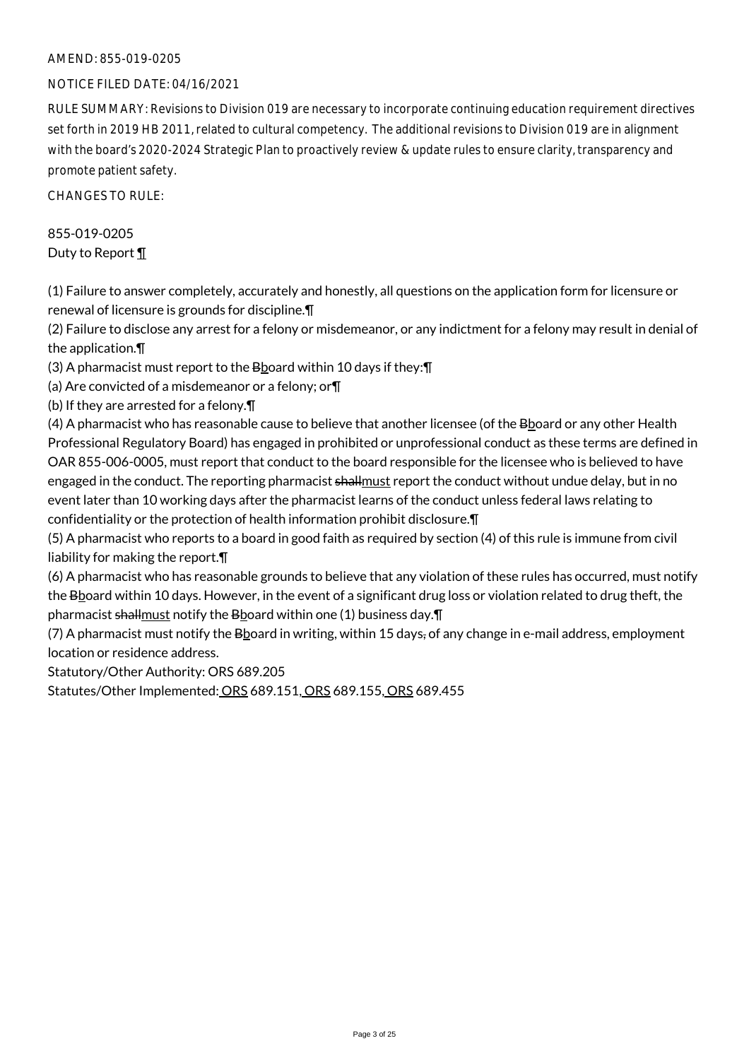#### AMEND: 855-019-0205

#### NOTICE FILED DATE: 04/16/2021

RULE SUMMARY: Revisions to Division 019 are necessary to incorporate continuing education requirement directives set forth in 2019 HB 2011, related to cultural competency. The additional revisions to Division 019 are in alignment with the board's 2020-2024 Strategic Plan to proactively review & update rules to ensure clarity, transparency and promote patient safety.

CHANGES TO RULE:

# 855-019-0205 Duty to Report ¶

(1) Failure to answer completely, accurately and honestly, all questions on the application form for licensure or renewal of licensure is grounds for discipline.¶

(2) Failure to disclose any arrest for a felony or misdemeanor, or any indictment for a felony may result in denial of the application.¶

(3) A pharmacist must report to the Bboard within 10 days if they:¶

(a) Are convicted of a misdemeanor or a felony; or¶

(b) If they are arrested for a felony.¶

(4) A pharmacist who has reasonable cause to believe that another licensee (of the Bboard or any other Health Professional Regulatory Board) has engaged in prohibited or unprofessional conduct as these terms are defined in OAR 855-006-0005, must report that conduct to the board responsible for the licensee who is believed to have engaged in the conduct. The reporting pharmacist shallmust report the conduct without undue delay, but in no event later than 10 working days after the pharmacist learns of the conduct unless federal laws relating to confidentiality or the protection of health information prohibit disclosure.¶

(5) A pharmacist who reports to a board in good faith as required by section (4) of this rule is immune from civil liability for making the report.¶

(6) A pharmacist who has reasonable grounds to believe that any violation of these rules has occurred, must notify the Bboard within 10 days. However, in the event of a significant drug loss or violation related to drug theft, the pharmacist shallmust notify the Bboard within one (1) business day. T

(7) A pharmacist must notify the B board in writing, within 15 days, of any change in e-mail address, employment location or residence address.

Statutory/Other Authority: ORS 689.205

Statutes/Other Implemented: ORS 689.151, ORS 689.155, ORS 689.455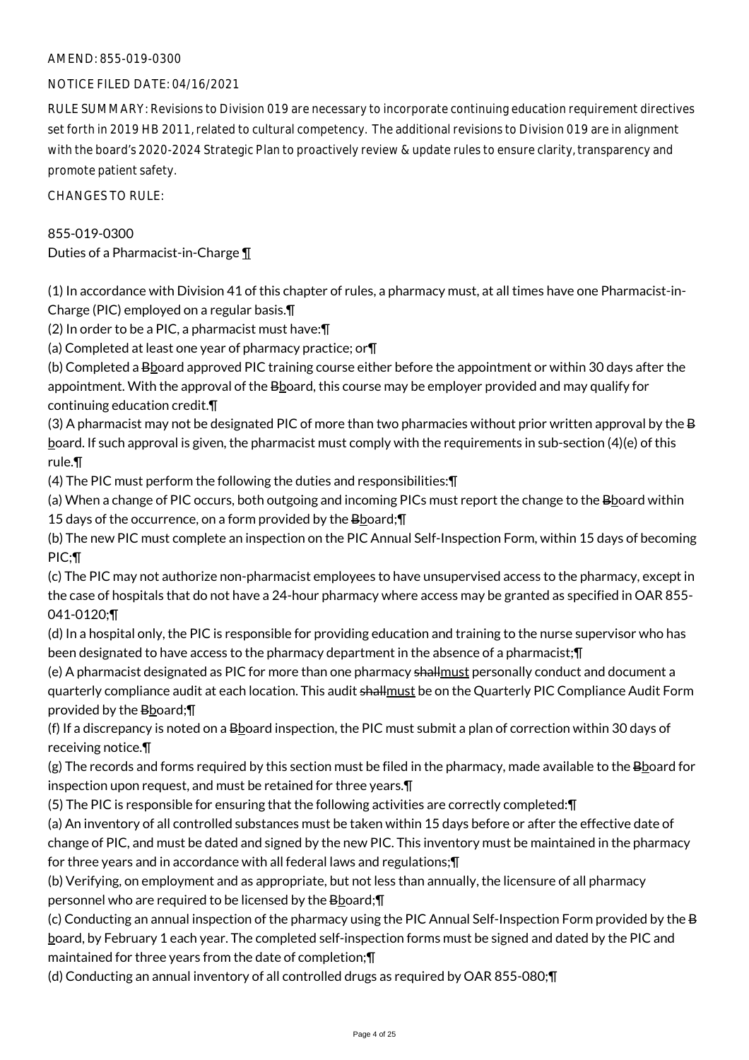### AMEND: 855-019-0300

#### NOTICE FILED DATE: 04/16/2021

RULE SUMMARY: Revisions to Division 019 are necessary to incorporate continuing education requirement directives set forth in 2019 HB 2011, related to cultural competency. The additional revisions to Division 019 are in alignment with the board's 2020-2024 Strategic Plan to proactively review & update rules to ensure clarity, transparency and promote patient safety.

CHANGES TO RULE:

#### 855-019-0300

Duties of a Pharmacist-in-Charge ¶

(1) In accordance with Division 41 of this chapter of rules, a pharmacy must, at all times have one Pharmacist-in-Charge (PIC) employed on a regular basis.¶

(2) In order to be a PIC, a pharmacist must have:¶

(a) Completed at least one year of pharmacy practice; or¶

(b) Completed a Bboard approved PIC training course either before the appointment or within 30 days after the appointment. With the approval of the Bboard, this course may be employer provided and may qualify for continuing education credit.¶

(3) A pharmacist may not be designated PIC of more than two pharmacies without prior written approval by the B board. If such approval is given, the pharmacist must comply with the requirements in sub-section (4)(e) of this rule.¶

(4) The PIC must perform the following the duties and responsibilities:¶

(a) When a change of PIC occurs, both outgoing and incoming PICs must report the change to the Bboard within 15 days of the occurrence, on a form provided by the  $B$ board; $\P$ 

(b) The new PIC must complete an inspection on the PIC Annual Self-Inspection Form, within 15 days of becoming PIC;¶

(c) The PIC may not authorize non-pharmacist employees to have unsupervised access to the pharmacy, except in the case of hospitals that do not have a 24-hour pharmacy where access may be granted as specified in OAR 855- 041-0120;¶

(d) In a hospital only, the PIC is responsible for providing education and training to the nurse supervisor who has been designated to have access to the pharmacy department in the absence of a pharmacist;¶

(e) A pharmacist designated as PIC for more than one pharmacy shallmust personally conduct and document a quarterly compliance audit at each location. This audit shallmust be on the Quarterly PIC Compliance Audit Form provided by the Bboard;¶

(f) If a discrepancy is noted on a  $B$ board inspection, the PIC must submit a plan of correction within 30 days of receiving notice.¶

 $(g)$  The records and forms required by this section must be filed in the pharmacy, made available to the Bboard for inspection upon request, and must be retained for three years.¶

(5) The PIC is responsible for ensuring that the following activities are correctly completed:¶

(a) An inventory of all controlled substances must be taken within 15 days before or after the effective date of change of PIC, and must be dated and signed by the new PIC. This inventory must be maintained in the pharmacy for three years and in accordance with all federal laws and regulations;¶

(b) Verifying, on employment and as appropriate, but not less than annually, the licensure of all pharmacy personnel who are required to be licensed by the Bboard;

(c) Conducting an annual inspection of the pharmacy using the PIC Annual Self-Inspection Form provided by the B board, by February 1 each year. The completed self-inspection forms must be signed and dated by the PIC and maintained for three years from the date of completion;¶

(d) Conducting an annual inventory of all controlled drugs as required by OAR 855-080;¶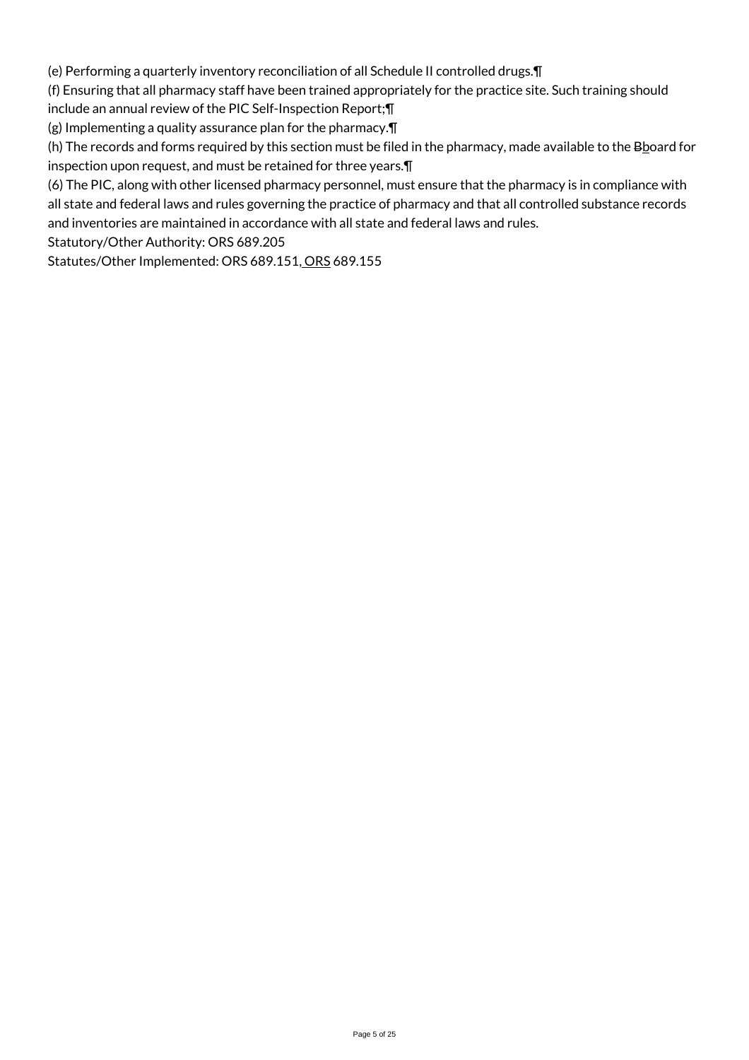(e) Performing a quarterly inventory reconciliation of all Schedule II controlled drugs.¶

(f) Ensuring that all pharmacy staff have been trained appropriately for the practice site. Such training should

include an annual review of the PIC Self-Inspection Report;¶

(g) Implementing a quality assurance plan for the pharmacy.¶

(h) The records and forms required by this section must be filed in the pharmacy, made available to the  $B$ board for inspection upon request, and must be retained for three years.¶

(6) The PIC, along with other licensed pharmacy personnel, must ensure that the pharmacy is in compliance with all state and federal laws and rules governing the practice of pharmacy and that all controlled substance records and inventories are maintained in accordance with all state and federal laws and rules.

Statutory/Other Authority: ORS 689.205

Statutes/Other Implemented: ORS 689.151, ORS 689.155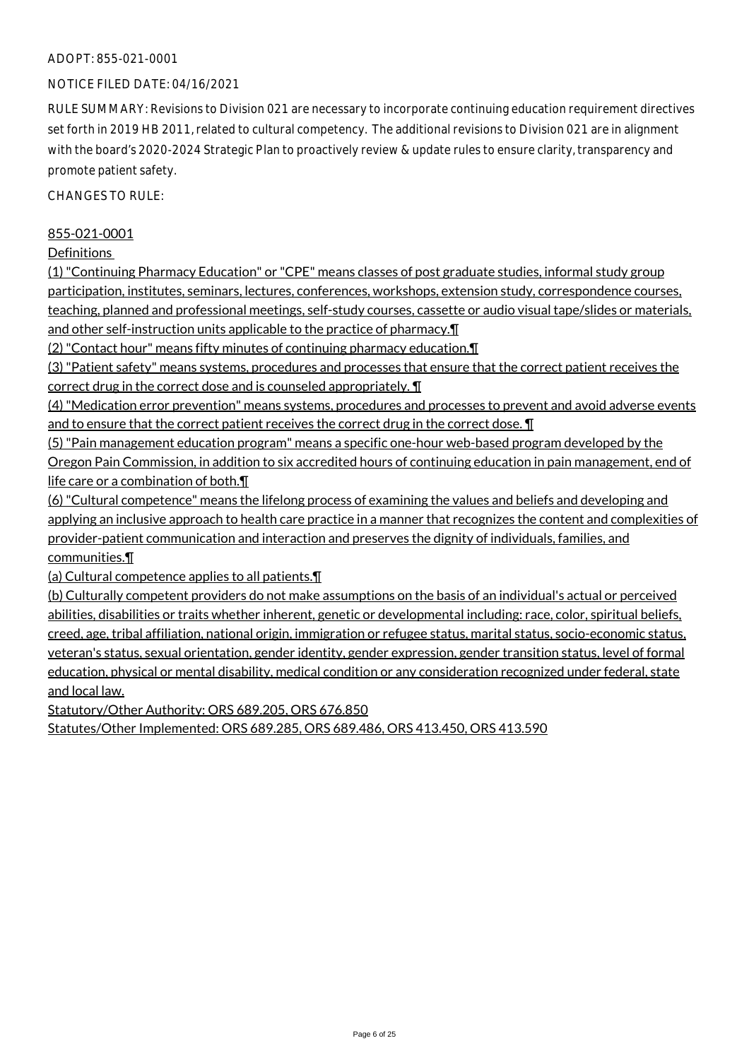#### ADOPT: 855-021-0001

#### NOTICE FILED DATE: 04/16/2021

RULE SUMMARY: Revisions to Division 021 are necessary to incorporate continuing education requirement directives set forth in 2019 HB 2011, related to cultural competency. The additional revisions to Division 021 are in alignment with the board's 2020-2024 Strategic Plan to proactively review & update rules to ensure clarity, transparency and promote patient safety.

CHANGES TO RULE:

#### 855-021-0001

Definitions

(1) "Continuing Pharmacy Education" or "CPE" means classes of post graduate studies, informal study group participation, institutes, seminars, lectures, conferences, workshops, extension study, correspondence courses, teaching, planned and professional meetings, self-study courses, cassette or audio visual tape/slides or materials, and other self-instruction units applicable to the practice of pharmacy.¶

(2) "Contact hour" means fifty minutes of continuing pharmacy education.¶

(3) "Patient safety" means systems, procedures and processes that ensure that the correct patient receives the correct drug in the correct dose and is counseled appropriately. ¶

(4) "Medication error prevention" means systems, procedures and processes to prevent and avoid adverse events and to ensure that the correct patient receives the correct drug in the correct dose. ¶

(5) "Pain management education program" means a specific one-hour web-based program developed by the Oregon Pain Commission, in addition to six accredited hours of continuing education in pain management, end of life care or a combination of both.¶

(6) "Cultural competence" means the lifelong process of examining the values and beliefs and developing and applying an inclusive approach to health care practice in a manner that recognizes the content and complexities of provider-patient communication and interaction and preserves the dignity of individuals, families, and communities.¶

(a) Cultural competence applies to all patients.¶

(b) Culturally competent providers do not make assumptions on the basis of an individual's actual or perceived abilities, disabilities or traits whether inherent, genetic or developmental including: race, color, spiritual beliefs, creed, age, tribal affiliation, national origin, immigration or refugee status, marital status, socio-economic status, veteran's status, sexual orientation, gender identity, gender expression, gender transition status, level of formal education, physical or mental disability, medical condition or any consideration recognized under federal, state and local law.

Statutory/Other Authority: ORS 689.205, ORS 676.850

Statutes/Other Implemented: ORS 689.285, ORS 689.486, ORS 413.450, ORS 413.590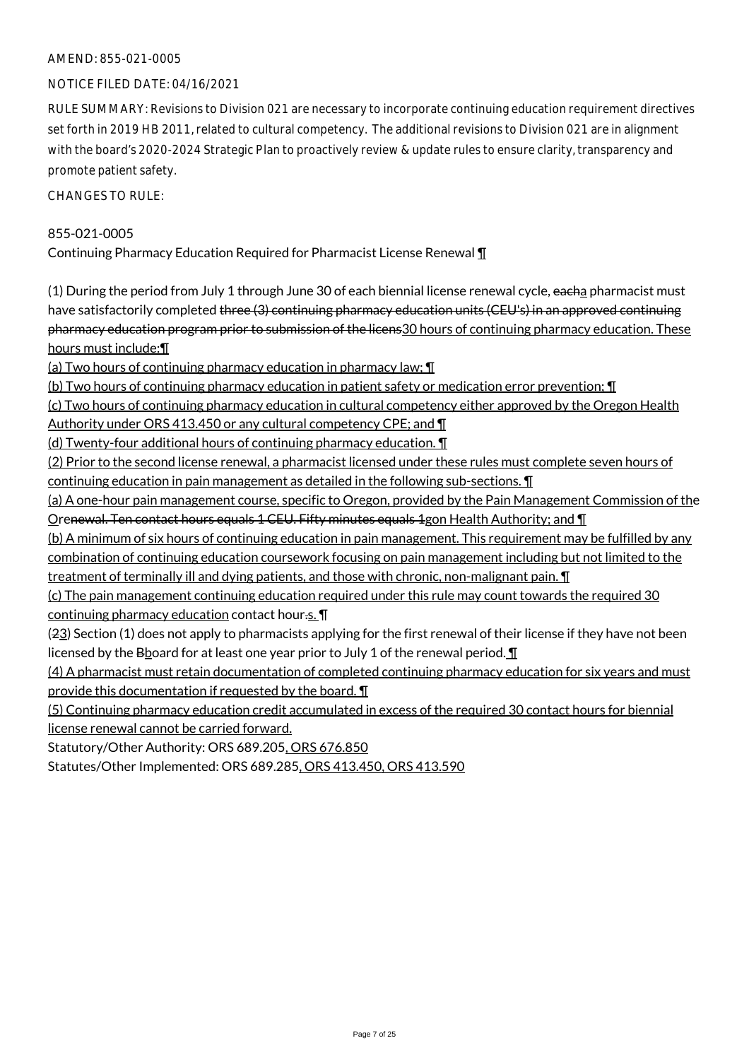#### AMEND: 855-021-0005

#### NOTICE FILED DATE: 04/16/2021

RULE SUMMARY: Revisions to Division 021 are necessary to incorporate continuing education requirement directives set forth in 2019 HB 2011, related to cultural competency. The additional revisions to Division 021 are in alignment with the board's 2020-2024 Strategic Plan to proactively review & update rules to ensure clarity, transparency and promote patient safety.

CHANGES TO RULE:

#### 855-021-0005

Continuing Pharmacy Education Required for Pharmacist License Renewal ¶

(1) During the period from July 1 through June 30 of each biennial license renewal cycle, eacha pharmacist must have satisfactorily completed three (3) continuing pharmacy education units (CEU's) in an approved continuing pharmacy education program prior to submission of the licens30 hours of continuing pharmacy education. These hours must include:¶

(a) Two hours of continuing pharmacy education in pharmacy law; ¶

(b) Two hours of continuing pharmacy education in patient safety or medication error prevention; ¶

(c) Two hours of continuing pharmacy education in cultural competency either approved by the Oregon Health Authority under ORS 413.450 or any cultural competency CPE; and ¶

(d) Twenty-four additional hours of continuing pharmacy education. ¶

(2) Prior to the second license renewal, a pharmacist licensed under these rules must complete seven hours of continuing education in pain management as detailed in the following sub-sections. ¶

(a) A one-hour pain management course, specific to Oregon, provided by the Pain Management Commission of the Orenewal. Ten contact hours equals 1 CEU. Fifty minutes equals 1gon Health Authority; and ¶

(b) A minimum of six hours of continuing education in pain management. This requirement may be fulfilled by any combination of continuing education coursework focusing on pain management including but not limited to the treatment of terminally ill and dying patients, and those with chronic, non-malignant pain. **I** 

(c) The pain management continuing education required under this rule may count towards the required 30 continuing pharmacy education contact hour.s. ¶

(23) Section (1) does not apply to pharmacists applying for the first renewal of their license if they have not been licensed by the B board for at least one year prior to July 1 of the renewal period.  $\P$ 

(4) A pharmacist must retain documentation of completed continuing pharmacy education for six years and must provide this documentation if requested by the board. ¶

(5) Continuing pharmacy education credit accumulated in excess of the required 30 contact hours for biennial license renewal cannot be carried forward.

Statutory/Other Authority: ORS 689.205, ORS 676.850

Statutes/Other Implemented: ORS 689.285, ORS 413.450, ORS 413.590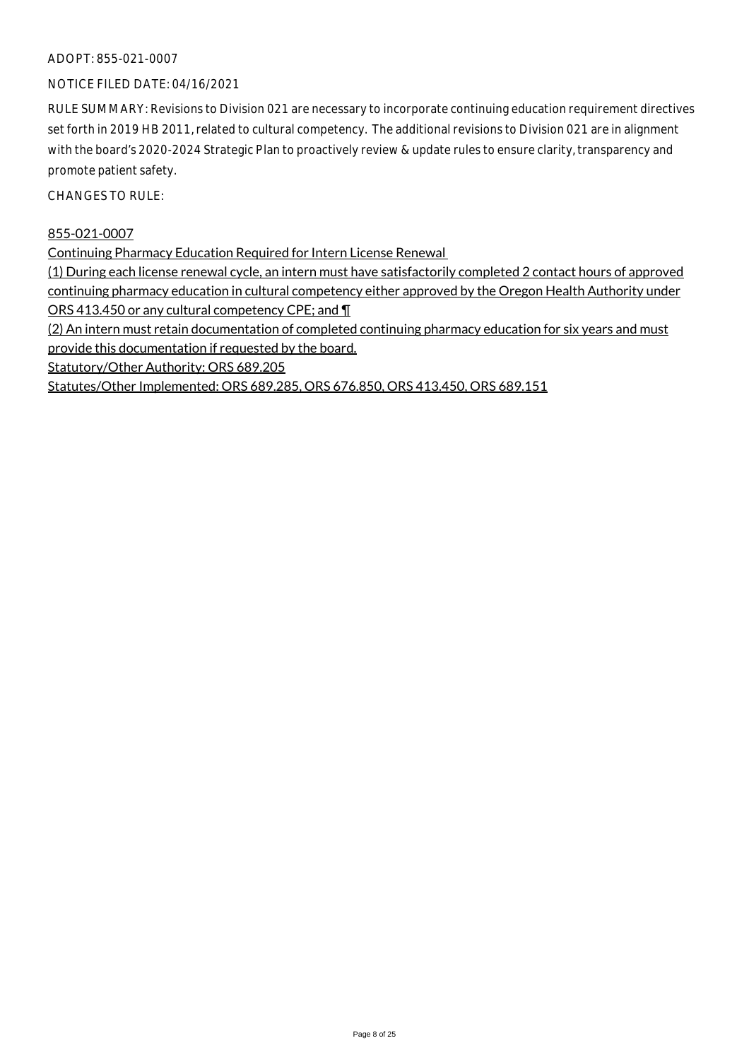#### ADOPT: 855-021-0007

#### NOTICE FILED DATE: 04/16/2021

RULE SUMMARY: Revisions to Division 021 are necessary to incorporate continuing education requirement directives set forth in 2019 HB 2011, related to cultural competency. The additional revisions to Division 021 are in alignment with the board's 2020-2024 Strategic Plan to proactively review & update rules to ensure clarity, transparency and promote patient safety.

CHANGES TO RULE:

#### 855-021-0007

Continuing Pharmacy Education Required for Intern License Renewal

(1) During each license renewal cycle, an intern must have satisfactorily completed 2 contact hours of approved continuing pharmacy education in cultural competency either approved by the Oregon Health Authority under ORS 413.450 or any cultural competency CPE; and ¶

(2) An intern must retain documentation of completed continuing pharmacy education for six years and must provide this documentation if requested by the board.

Statutory/Other Authority: ORS 689.205

Statutes/Other Implemented: ORS 689.285, ORS 676.850, ORS 413.450, ORS 689.151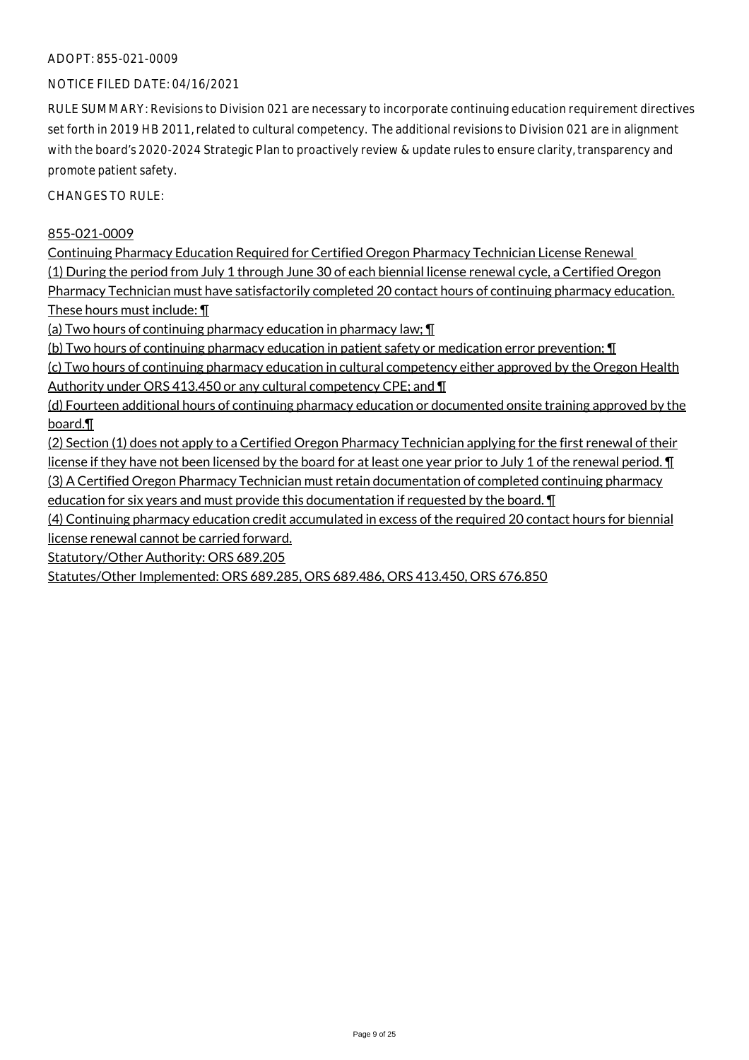#### ADOPT: 855-021-0009

#### NOTICE FILED DATE: 04/16/2021

RULE SUMMARY: Revisions to Division 021 are necessary to incorporate continuing education requirement directives set forth in 2019 HB 2011, related to cultural competency. The additional revisions to Division 021 are in alignment with the board's 2020-2024 Strategic Plan to proactively review & update rules to ensure clarity, transparency and promote patient safety.

CHANGES TO RULE:

#### 855-021-0009

Continuing Pharmacy Education Required for Certified Oregon Pharmacy Technician License Renewal (1) During the period from July 1 through June 30 of each biennial license renewal cycle, a Certified Oregon Pharmacy Technician must have satisfactorily completed 20 contact hours of continuing pharmacy education. These hours must include: ¶

(a) Two hours of continuing pharmacy education in pharmacy law; ¶

(b) Two hours of continuing pharmacy education in patient safety or medication error prevention; ¶

(c) Two hours of continuing pharmacy education in cultural competency either approved by the Oregon Health Authority under ORS 413.450 or any cultural competency CPE; and ¶

(d) Fourteen additional hours of continuing pharmacy education or documented onsite training approved by the board.¶

(2) Section (1) does not apply to a Certified Oregon Pharmacy Technician applying for the first renewal of their license if they have not been licensed by the board for at least one year prior to July 1 of the renewal period.  $\P$ (3) A Certified Oregon Pharmacy Technician must retain documentation of completed continuing pharmacy

education for six years and must provide this documentation if requested by the board. ¶

(4) Continuing pharmacy education credit accumulated in excess of the required 20 contact hours for biennial license renewal cannot be carried forward.

Statutory/Other Authority: ORS 689.205

Statutes/Other Implemented: ORS 689.285, ORS 689.486, ORS 413.450, ORS 676.850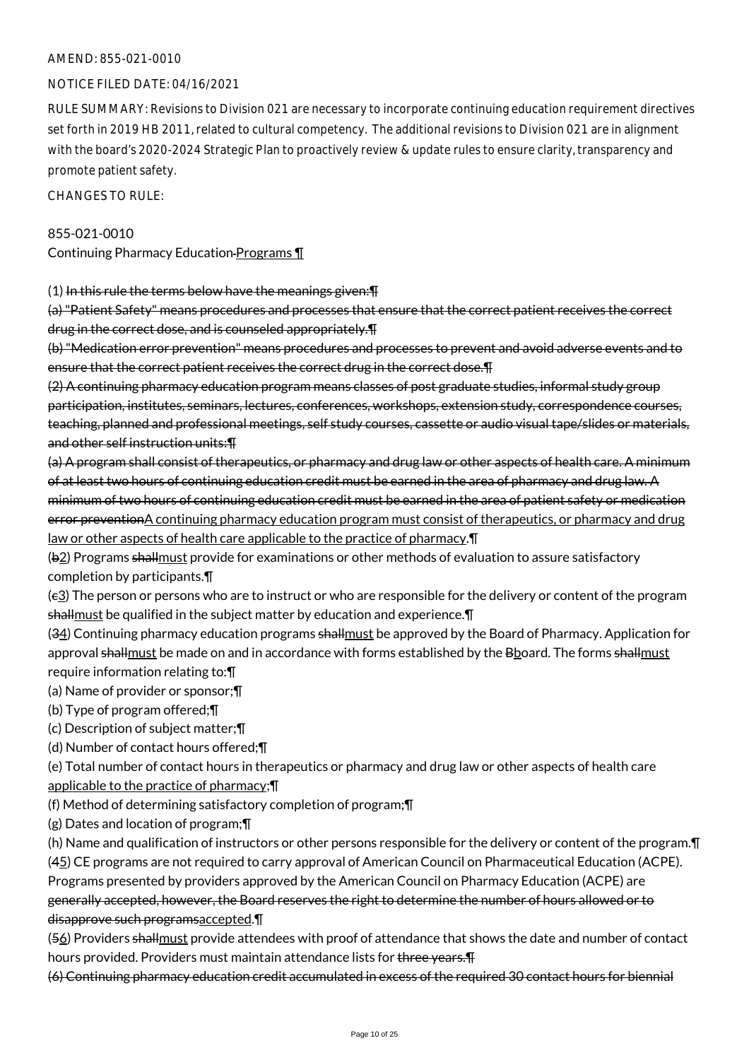#### AMEND: 855-021-0010

#### NOTICE FILED DATE: 04/16/2021

RULE SUMMARY: Revisions to Division 021 are necessary to incorporate continuing education requirement directives set forth in 2019 HB 2011, related to cultural competency. The additional revisions to Division 021 are in alignment with the board's 2020-2024 Strategic Plan to proactively review & update rules to ensure clarity, transparency and promote patient safety.

CHANGES TO RULE:

#### 855-021-0010

Continuing Pharmacy Education Programs ¶

(1) In this rule the terms below have the meanings given: [1]

(a) "Patient Safety" means procedures and processes that ensure that the correct patient receives the correct drug in the correct dose, and is counseled appropriately.¶

(b) "Medication error prevention" means procedures and processes to prevent and avoid adverse events and to ensure that the correct patient receives the correct drug in the correct dose.¶

(2) A continuing pharmacy education program means classes of post graduate studies, informal study group participation, institutes, seminars, lectures, conferences, workshops, extension study, correspondence courses, teaching, planned and professional meetings, self study courses, cassette or audio visual tape/slides or materials, and other self instruction units:¶

(a) A program shall consist of therapeutics, or pharmacy and drug law or other aspects of health care. A minimum of at least two hours of continuing education credit must be earned in the area of pharmacy and drug law. A minimum of two hours of continuing education credit must be earned in the area of patient safety or medication error preventionA continuing pharmacy education program must consist of therapeutics, or pharmacy and drug law or other aspects of health care applicable to the practice of pharmacy.¶

( $\frac{1}{2}$ ) Programs shall must provide for examinations or other methods of evaluation to assure satisfactory completion by participants.¶

(c3) The person or persons who are to instruct or who are responsible for the delivery or content of the program shallmust be qualified in the subject matter by education and experience.¶

(34) Continuing pharmacy education programs shall must be approved by the Board of Pharmacy. Application for approval shallmust be made on and in accordance with forms established by the Bboard. The forms shallmust require information relating to:¶

(a) Name of provider or sponsor;¶

(b) Type of program offered;¶

(c) Description of subject matter;¶

(d) Number of contact hours offered;¶

(e) Total number of contact hours in therapeutics or pharmacy and drug law or other aspects of health care applicable to the practice of pharmacy;¶

(f) Method of determining satisfactory completion of program;¶

(g) Dates and location of program;¶

(h) Name and qualification of instructors or other persons responsible for the delivery or content of the program.¶ (45) CE programs are not required to carry approval of American Council on Pharmaceutical Education (ACPE).

Programs presented by providers approved by the American Council on Pharmacy Education (ACPE) are

generally accepted, however, the Board reserves the right to determine the number of hours allowed or to disapprove such programsaccepted.¶

(56) Providers shall must provide attendees with proof of attendance that shows the date and number of contact hours provided. Providers must maintain attendance lists for three years.

(6) Continuing pharmacy education credit accumulated in excess of the required 30 contact hours for biennial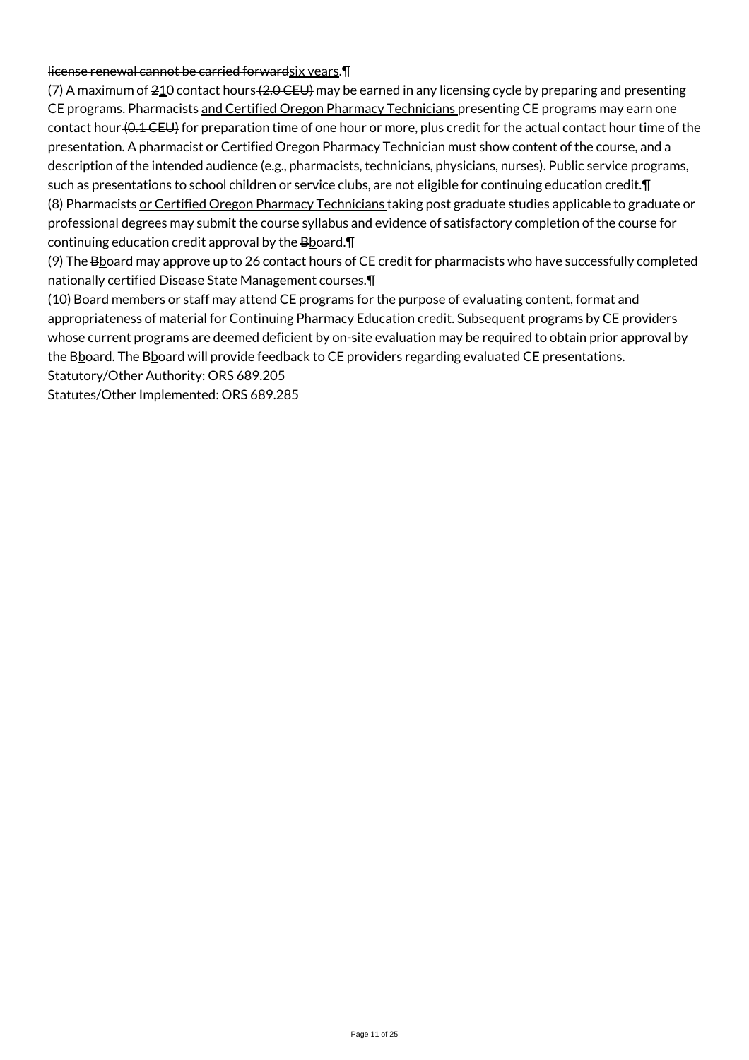#### license renewal cannot be carried forwardsix years. I

(7) A maximum of  $210$  contact hours  $(2.0 \text{ CEU})$  may be earned in any licensing cycle by preparing and presenting CE programs. Pharmacists and Certified Oregon Pharmacy Technicians presenting CE programs may earn one contact hour (0.1 CEU) for preparation time of one hour or more, plus credit for the actual contact hour time of the presentation. A pharmacist or Certified Oregon Pharmacy Technician must show content of the course, and a description of the intended audience (e.g., pharmacists, technicians, physicians, nurses). Public service programs, such as presentations to school children or service clubs, are not eligible for continuing education credit.¶ (8) Pharmacists or Certified Oregon Pharmacy Technicians taking post graduate studies applicable to graduate or professional degrees may submit the course syllabus and evidence of satisfactory completion of the course for continuing education credit approval by the  $B$ board. $\P$ 

(9) The Bboard may approve up to 26 contact hours of CE credit for pharmacists who have successfully completed nationally certified Disease State Management courses.¶

(10) Board members or staff may attend CE programs for the purpose of evaluating content, format and appropriateness of material for Continuing Pharmacy Education credit. Subsequent programs by CE providers whose current programs are deemed deficient by on-site evaluation may be required to obtain prior approval by the Bboard. The Bboard will provide feedback to CE providers regarding evaluated CE presentations. Statutory/Other Authority: ORS 689.205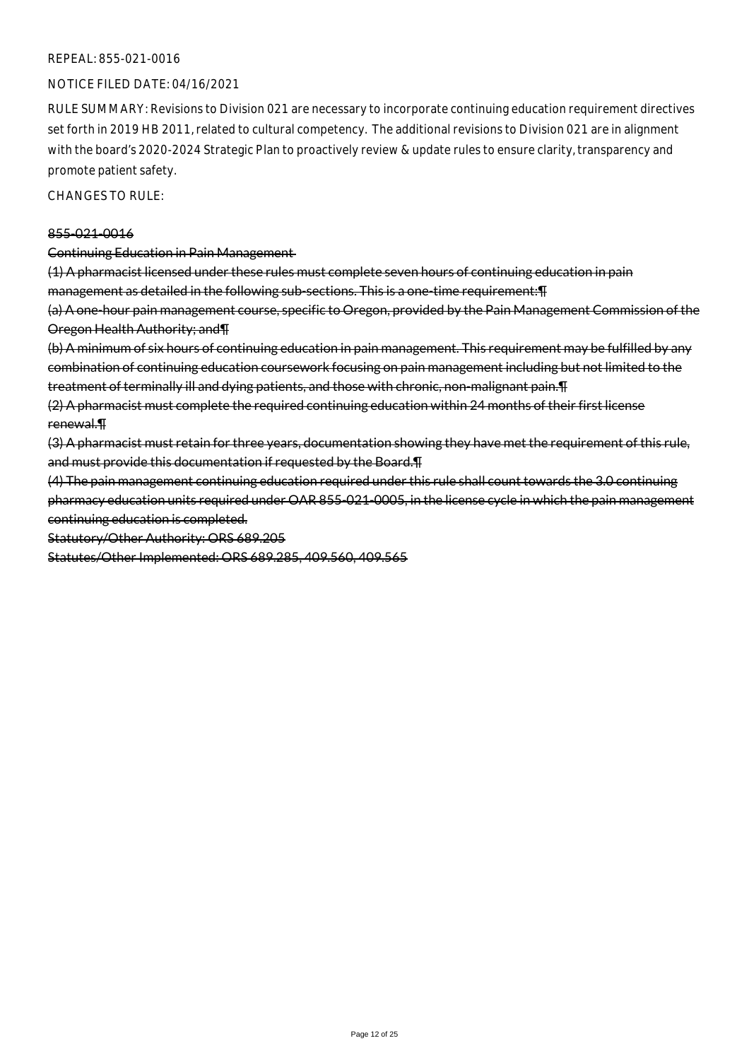#### NOTICE FILED DATE: 04/16/2021

RULE SUMMARY: Revisions to Division 021 are necessary to incorporate continuing education requirement directives set forth in 2019 HB 2011, related to cultural competency. The additional revisions to Division 021 are in alignment with the board's 2020-2024 Strategic Plan to proactively review & update rules to ensure clarity, transparency and promote patient safety.

CHANGES TO RULE:

#### 855-021-0016

Continuing Education in Pain Management

(1) A pharmacist licensed under these rules must complete seven hours of continuing education in pain management as detailed in the following sub-sections. This is a one-time requirement:¶

(a) A one-hour pain management course, specific to Oregon, provided by the Pain Management Commission of the Oregon Health Authority; and¶

(b) A minimum of six hours of continuing education in pain management. This requirement may be fulfilled by any combination of continuing education coursework focusing on pain management including but not limited to the treatment of terminally ill and dying patients, and those with chronic, non-malignant pain.¶

(2) A pharmacist must complete the required continuing education within 24 months of their first license renewal.¶

(3) A pharmacist must retain for three years, documentation showing they have met the requirement of this rule, and must provide this documentation if requested by the Board.¶

(4) The pain management continuing education required under this rule shall count towards the 3.0 continuing pharmacy education units required under OAR 855-021-0005, in the license cycle in which the pain management continuing education is completed.

Statutory/Other Authority: ORS 689.205

Statutes/Other Implemented: ORS 689.285, 409.560, 409.565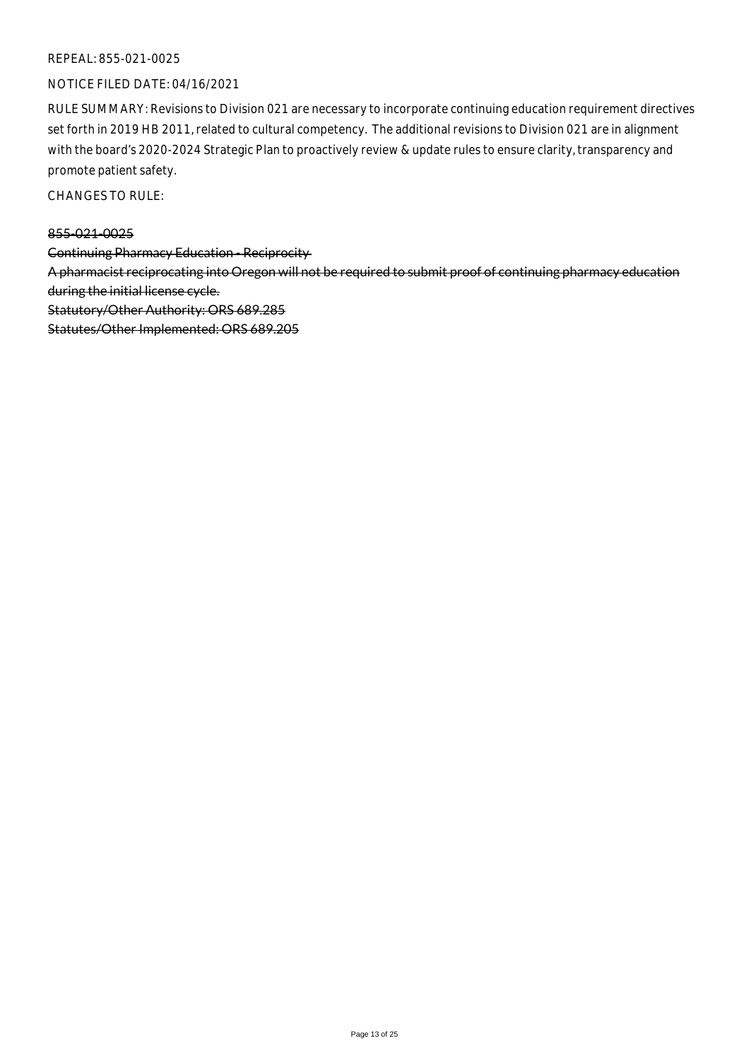#### NOTICE FILED DATE: 04/16/2021

RULE SUMMARY: Revisions to Division 021 are necessary to incorporate continuing education requirement directives set forth in 2019 HB 2011, related to cultural competency. The additional revisions to Division 021 are in alignment with the board's 2020-2024 Strategic Plan to proactively review & update rules to ensure clarity, transparency and promote patient safety.

CHANGES TO RULE:

#### 855-021-0025

Continuing Pharmacy Education - Reciprocity

A pharmacist reciprocating into Oregon will not be required to submit proof of continuing pharmacy education during the initial license cycle.

Statutory/Other Authority: ORS 689.285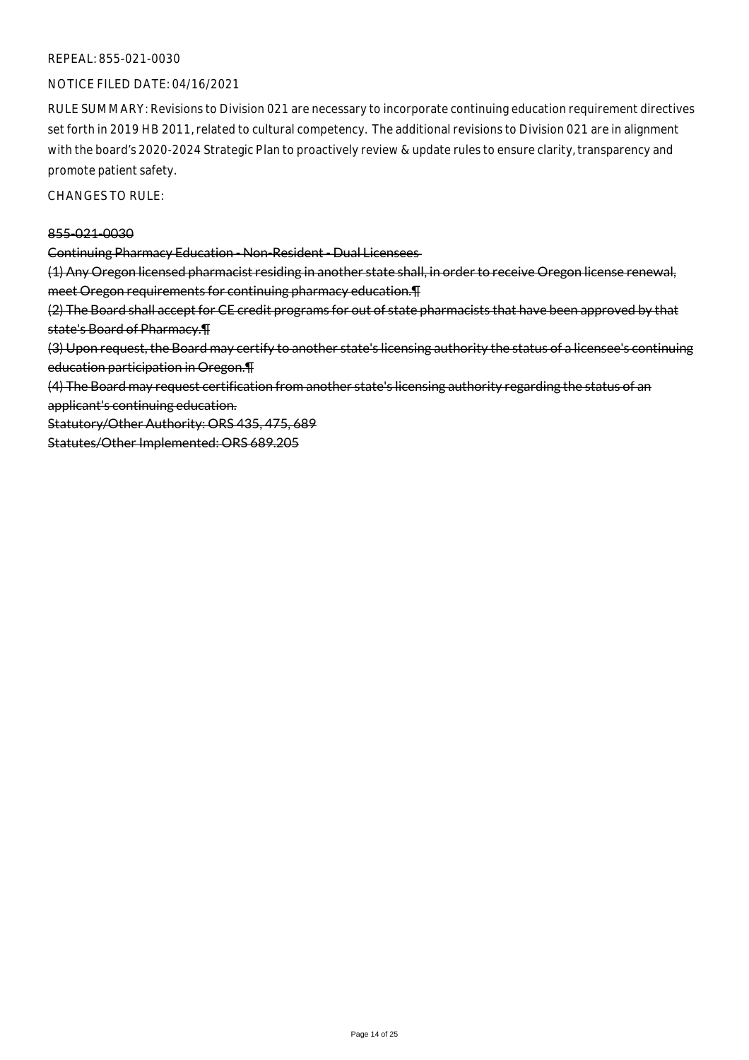#### NOTICE FILED DATE: 04/16/2021

RULE SUMMARY: Revisions to Division 021 are necessary to incorporate continuing education requirement directives set forth in 2019 HB 2011, related to cultural competency. The additional revisions to Division 021 are in alignment with the board's 2020-2024 Strategic Plan to proactively review & update rules to ensure clarity, transparency and promote patient safety.

CHANGES TO RULE:

#### 855-021-0030

Continuing Pharmacy Education - Non-Resident - Dual Licensees

(1) Any Oregon licensed pharmacist residing in another state shall, in order to receive Oregon license renewal, meet Oregon requirements for continuing pharmacy education.¶

(2) The Board shall accept for CE credit programs for out of state pharmacists that have been approved by that state's Board of Pharmacy.¶

(3) Upon request, the Board may certify to another state's licensing authority the status of a licensee's continuing education participation in Oregon.¶

(4) The Board may request certification from another state's licensing authority regarding the status of an applicant's continuing education.

Statutory/Other Authority: ORS 435, 475, 689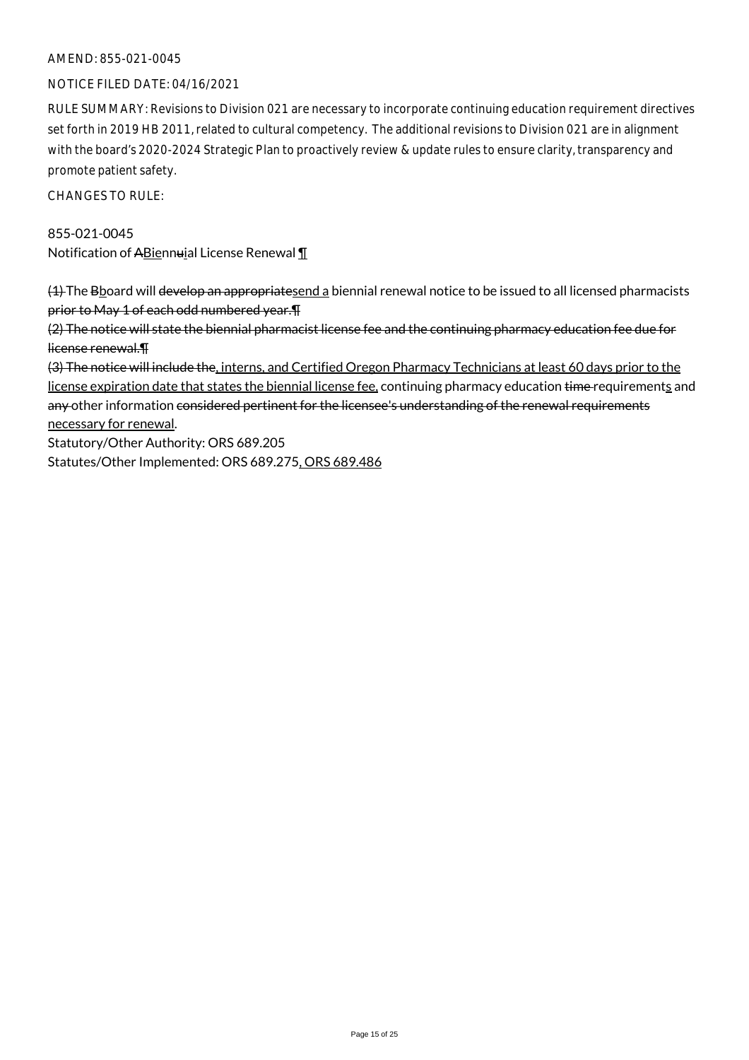#### AMEND: 855-021-0045

#### NOTICE FILED DATE: 04/16/2021

RULE SUMMARY: Revisions to Division 021 are necessary to incorporate continuing education requirement directives set forth in 2019 HB 2011, related to cultural competency. The additional revisions to Division 021 are in alignment with the board's 2020-2024 Strategic Plan to proactively review & update rules to ensure clarity, transparency and promote patient safety.

CHANGES TO RULE:

# 855-021-0045

Notification of ABiennuial License Renewal 1

(4) The B board will develop an appropriatesend a biennial renewal notice to be issued to all licensed pharmacists prior to May 1 of each odd numbered year.¶

(2) The notice will state the biennial pharmacist license fee and the continuing pharmacy education fee due for license renewal.¶

(3) The notice will include the, interns, and Certified Oregon Pharmacy Technicians at least 60 days prior to the license expiration date that states the biennial license fee, continuing pharmacy education time requirements and any other information considered pertinent for the licensee's understanding of the renewal requirements necessary for renewal.

Statutory/Other Authority: ORS 689.205 Statutes/Other Implemented: ORS 689.275, ORS 689.486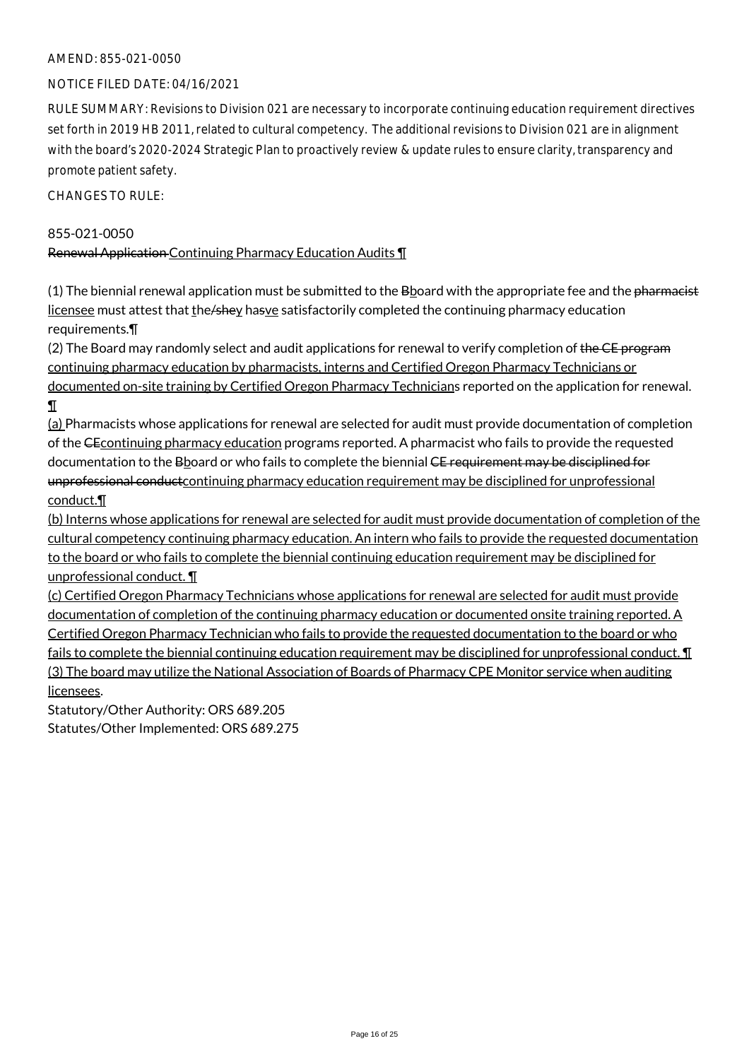## AMEND: 855-021-0050

#### NOTICE FILED DATE: 04/16/2021

RULE SUMMARY: Revisions to Division 021 are necessary to incorporate continuing education requirement directives set forth in 2019 HB 2011, related to cultural competency. The additional revisions to Division 021 are in alignment with the board's 2020-2024 Strategic Plan to proactively review & update rules to ensure clarity, transparency and promote patient safety.

CHANGES TO RULE:

#### 855-021-0050

Renewal Application Continuing Pharmacy Education Audits ¶

 $(1)$  The biennial renewal application must be submitted to the B board with the appropriate fee and the pharmacist licensee must attest that the/shey hasve satisfactorily completed the continuing pharmacy education requirements.¶

(2) The Board may randomly select and audit applications for renewal to verify completion of the CE-program continuing pharmacy education by pharmacists, interns and Certified Oregon Pharmacy Technicians or documented on-site training by Certified Oregon Pharmacy Technicians reported on the application for renewal. ¶

(a) Pharmacists whose applications for renewal are selected for audit must provide documentation of completion of the CEcontinuing pharmacy education programs reported. A pharmacist who fails to provide the requested documentation to the Bboard or who fails to complete the biennial CE requirement may be disciplined for unprofessional conduct continuing pharmacy education requirement may be disciplined for unprofessional conduct.¶

(b) Interns whose applications for renewal are selected for audit must provide documentation of completion of the cultural competency continuing pharmacy education. An intern who fails to provide the requested documentation to the board or who fails to complete the biennial continuing education requirement may be disciplined for unprofessional conduct. ¶

(c) Certified Oregon Pharmacy Technicians whose applications for renewal are selected for audit must provide documentation of completion of the continuing pharmacy education or documented onsite training reported. A Certified Oregon Pharmacy Technician who fails to provide the requested documentation to the board or who fails to complete the biennial continuing education requirement may be disciplined for unprofessional conduct.  $\P$ (3) The board may utilize the National Association of Boards of Pharmacy CPE Monitor service when auditing licensees.

Statutory/Other Authority: ORS 689.205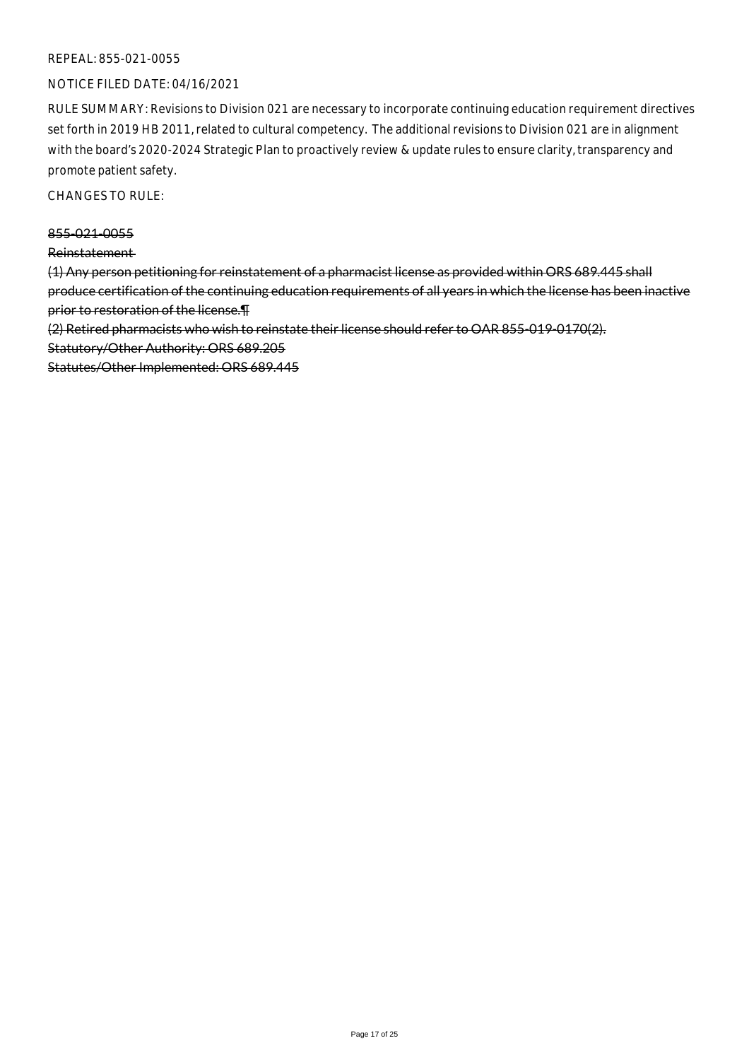#### NOTICE FILED DATE: 04/16/2021

RULE SUMMARY: Revisions to Division 021 are necessary to incorporate continuing education requirement directives set forth in 2019 HB 2011, related to cultural competency. The additional revisions to Division 021 are in alignment with the board's 2020-2024 Strategic Plan to proactively review & update rules to ensure clarity, transparency and promote patient safety.

CHANGES TO RULE:

#### 855-021-0055

#### Reinstatement

(1) Any person petitioning for reinstatement of a pharmacist license as provided within ORS 689.445 shall produce certification of the continuing education requirements of all years in which the license has been inactive prior to restoration of the license.¶

(2) Retired pharmacists who wish to reinstate their license should refer to OAR 855-019-0170(2).

Statutory/Other Authority: ORS 689.205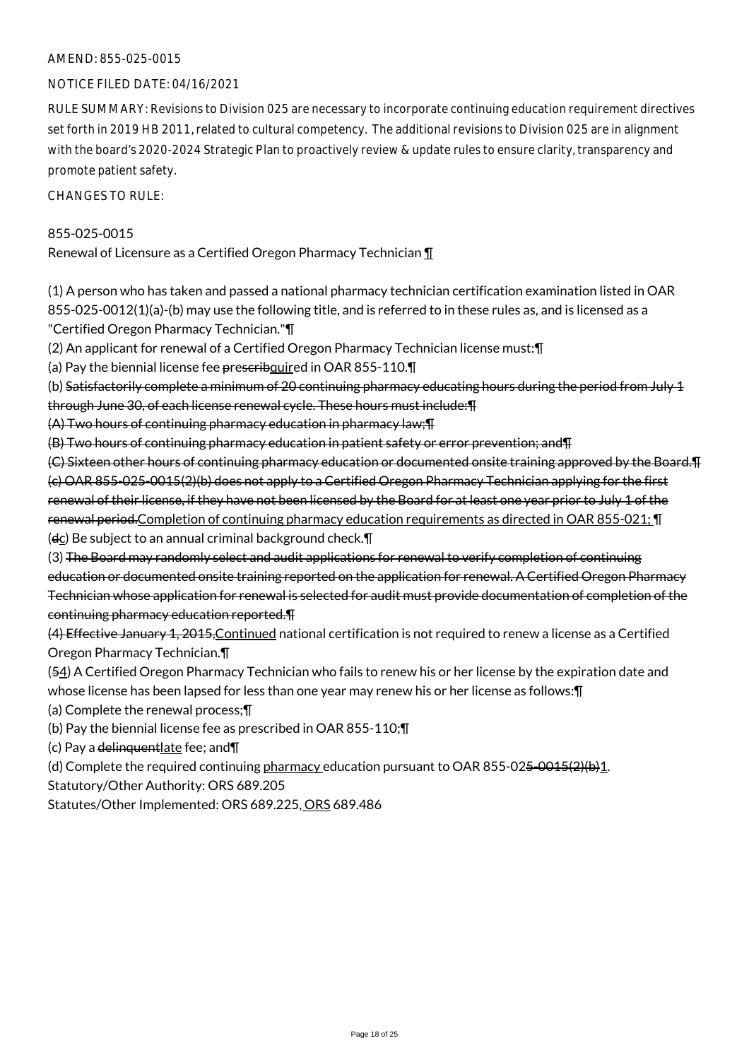#### AMEND: 855-025-0015

#### NOTICE FILED DATE: 04/16/2021

RULE SUMMARY: Revisions to Division 025 are necessary to incorporate continuing education requirement directives set forth in 2019 HB 2011, related to cultural competency. The additional revisions to Division 025 are in alignment with the board's 2020-2024 Strategic Plan to proactively review & update rules to ensure clarity, transparency and promote patient safety.

CHANGES TO RULE:

#### 855-025-0015

Renewal of Licensure as a Certified Oregon Pharmacy Technician ¶

(1) A person who has taken and passed a national pharmacy technician certification examination listed in OAR 855-025-0012(1)(a)-(b) may use the following title, and is referred to in these rules as, and is licensed as a "Certified Oregon Pharmacy Technician."¶

(2) An applicant for renewal of a Certified Oregon Pharmacy Technician license must:¶

(a) Pay the biennial license fee prescribquired in OAR 855-110.

(b) Satisfactorily complete a minimum of 20 continuing pharmacy educating hours during the period from July 1 through June 30, of each license renewal cycle. These hours must include:¶

(A) Two hours of continuing pharmacy education in pharmacy law;¶

(B) Two hours of continuing pharmacy education in patient safety or error prevention; and¶

(C) Sixteen other hours of continuing pharmacy education or documented onsite training approved by the Board.¶ (c) OAR 855-025-0015(2)(b) does not apply to a Certified Oregon Pharmacy Technician applying for the first renewal of their license, if they have not been licensed by the Board for at least one year prior to July 1 of the renewal period.Completion of continuing pharmacy education requirements as directed in OAR 855-021; ¶  $(d<sub>C</sub>)$  Be subject to an annual criminal background check. $\P$ 

(3) The Board may randomly select and audit applications for renewal to verify completion of continuing education or documented onsite training reported on the application for renewal. A Certified Oregon Pharmacy Technician whose application for renewal is selected for audit must provide documentation of completion of the continuing pharmacy education reported.¶

(4) Effective January 1, 2015,Continued national certification is not required to renew a license as a Certified Oregon Pharmacy Technician.¶

(54) A Certified Oregon Pharmacy Technician who fails to renew his or her license by the expiration date and whose license has been lapsed for less than one year may renew his or her license as follows:¶

(a) Complete the renewal process;¶

(b) Pay the biennial license fee as prescribed in OAR 855-110;¶

(c) Pay a delinguent late fee; and  $\P$ 

(d) Complete the required continuing pharmacy education pursuant to OAR 855-025-0015(2)(b)1.

Statutory/Other Authority: ORS 689.205

Statutes/Other Implemented: ORS 689.225, ORS 689.486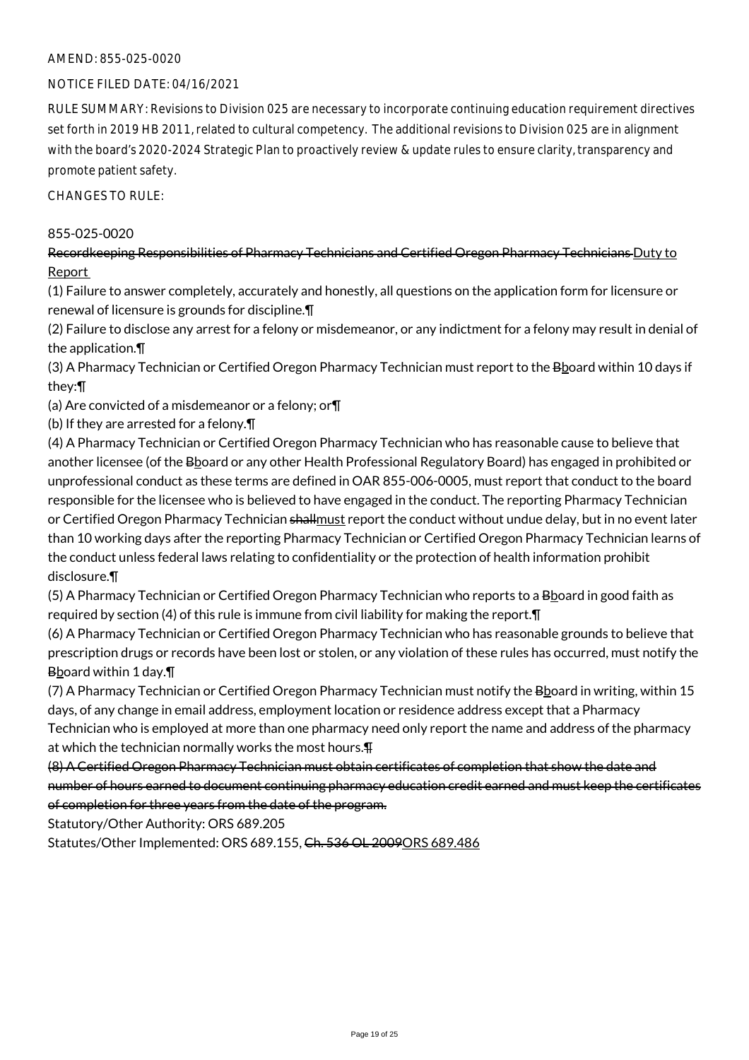#### AMEND: 855-025-0020

#### NOTICE FILED DATE: 04/16/2021

RULE SUMMARY: Revisions to Division 025 are necessary to incorporate continuing education requirement directives set forth in 2019 HB 2011, related to cultural competency. The additional revisions to Division 025 are in alignment with the board's 2020-2024 Strategic Plan to proactively review & update rules to ensure clarity, transparency and promote patient safety.

CHANGES TO RULE:

#### 855-025-0020

Recordkeeping Responsibilities of Pharmacy Technicians and Certified Oregon Pharmacy Technicians Duty to Report

(1) Failure to answer completely, accurately and honestly, all questions on the application form for licensure or renewal of licensure is grounds for discipline.¶

(2) Failure to disclose any arrest for a felony or misdemeanor, or any indictment for a felony may result in denial of the application.¶

(3) A Pharmacy Technician or Certified Oregon Pharmacy Technician must report to the Bboard within 10 days if they:¶

(a) Are convicted of a misdemeanor or a felony; or¶

(b) If they are arrested for a felony.¶

(4) A Pharmacy Technician or Certified Oregon Pharmacy Technician who has reasonable cause to believe that another licensee (of the Bboard or any other Health Professional Regulatory Board) has engaged in prohibited or unprofessional conduct as these terms are defined in OAR 855-006-0005, must report that conduct to the board responsible for the licensee who is believed to have engaged in the conduct. The reporting Pharmacy Technician or Certified Oregon Pharmacy Technician shallmust report the conduct without undue delay, but in no event later than 10 working days after the reporting Pharmacy Technician or Certified Oregon Pharmacy Technician learns of the conduct unless federal laws relating to confidentiality or the protection of health information prohibit disclosure.¶

(5) A Pharmacy Technician or Certified Oregon Pharmacy Technician who reports to a Bboard in good faith as required by section (4) of this rule is immune from civil liability for making the report.¶

(6) A Pharmacy Technician or Certified Oregon Pharmacy Technician who has reasonable grounds to believe that prescription drugs or records have been lost or stolen, or any violation of these rules has occurred, must notify the Bboard within 1 day.¶

(7) A Pharmacy Technician or Certified Oregon Pharmacy Technician must notify the B board in writing, within 15 days, of any change in email address, employment location or residence address except that a Pharmacy Technician who is employed at more than one pharmacy need only report the name and address of the pharmacy at which the technician normally works the most hours.¶

(8) A Certified Oregon Pharmacy Technician must obtain certificates of completion that show the date and number of hours earned to document continuing pharmacy education credit earned and must keep the certificates of completion for three years from the date of the program.

Statutory/Other Authority: ORS 689.205

Statutes/Other Implemented: ORS 689.155, Ch. 536 OL 2009ORS 689.486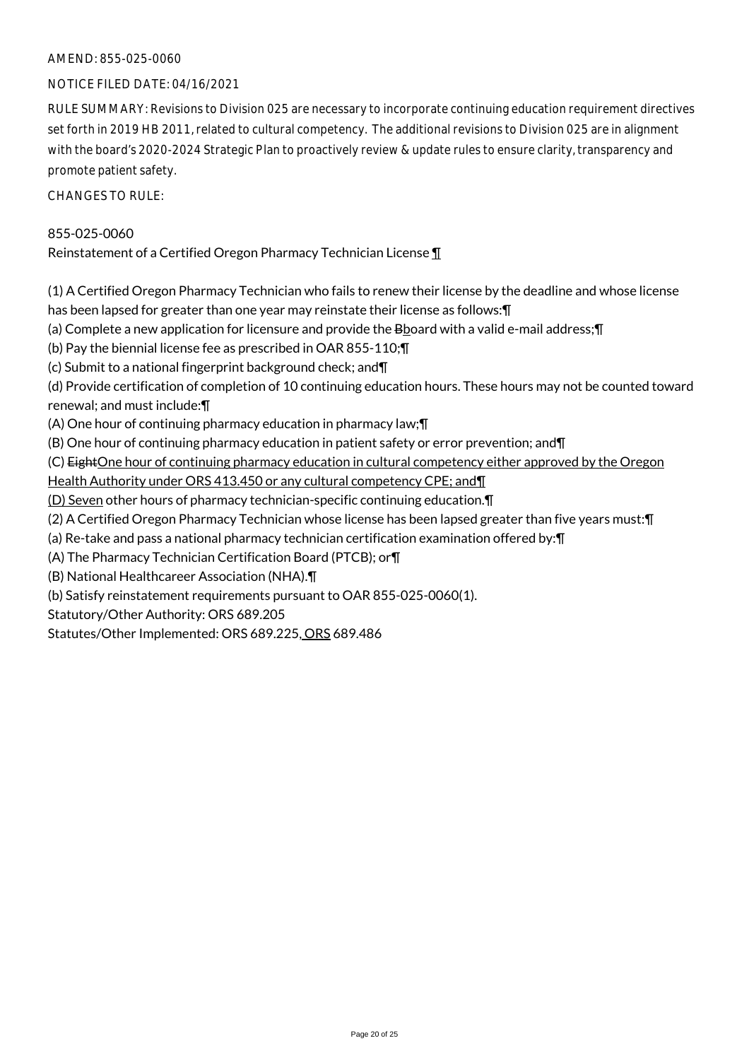#### AMEND: 855-025-0060

#### NOTICE FILED DATE: 04/16/2021

RULE SUMMARY: Revisions to Division 025 are necessary to incorporate continuing education requirement directives set forth in 2019 HB 2011, related to cultural competency. The additional revisions to Division 025 are in alignment with the board's 2020-2024 Strategic Plan to proactively review & update rules to ensure clarity, transparency and promote patient safety.

CHANGES TO RULE:

#### 855-025-0060

Reinstatement of a Certified Oregon Pharmacy Technician License ¶

(1) A Certified Oregon Pharmacy Technician who fails to renew their license by the deadline and whose license has been lapsed for greater than one year may reinstate their license as follows:¶

(a) Complete a new application for licensure and provide the  $B_{20}$  and with a valid e-mail address;  $\P$ 

(b) Pay the biennial license fee as prescribed in OAR 855-110;¶

(c) Submit to a national fingerprint background check; and¶

(d) Provide certification of completion of 10 continuing education hours. These hours may not be counted toward renewal; and must include:¶

(A) One hour of continuing pharmacy education in pharmacy law;¶

(B) One hour of continuing pharmacy education in patient safety or error prevention; and¶

(C) EightOne hour of continuing pharmacy education in cultural competency either approved by the Oregon

Health Authority under ORS 413.450 or any cultural competency CPE; and¶

(D) Seven other hours of pharmacy technician-specific continuing education.¶

(2) A Certified Oregon Pharmacy Technician whose license has been lapsed greater than five years must:¶

(a) Re-take and pass a national pharmacy technician certification examination offered by:¶

(A) The Pharmacy Technician Certification Board (PTCB); or¶

(B) National Healthcareer Association (NHA).¶

(b) Satisfy reinstatement requirements pursuant to OAR 855-025-0060(1).

Statutory/Other Authority: ORS 689.205

Statutes/Other Implemented: ORS 689.225, ORS 689.486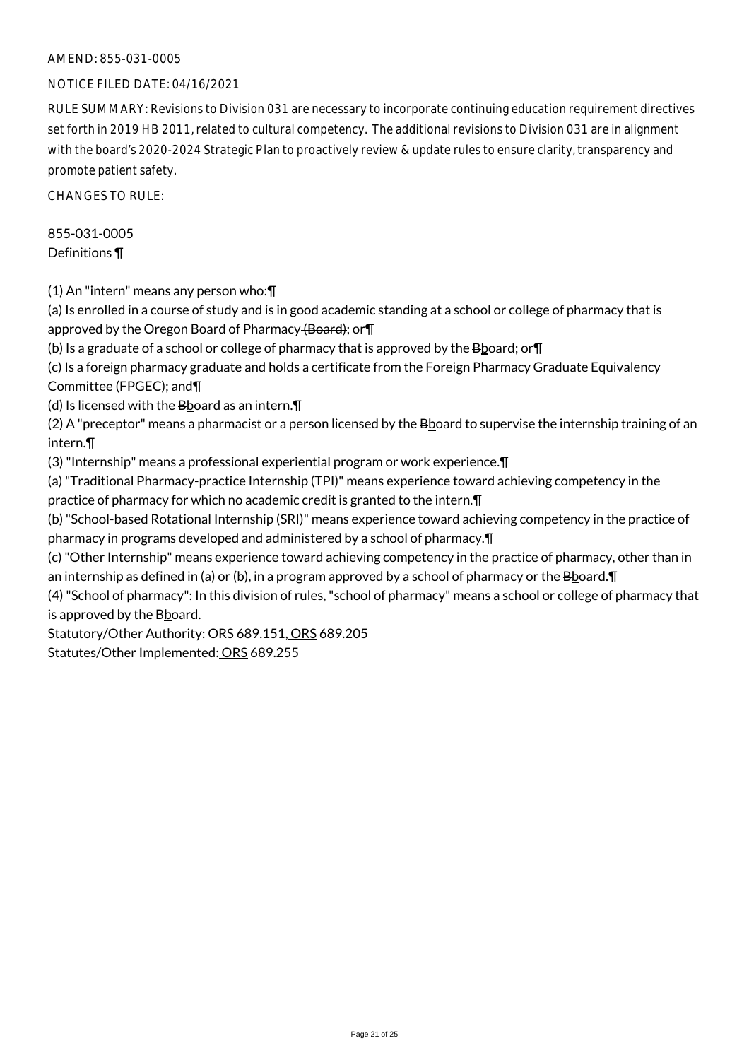#### AMEND: 855-031-0005

#### NOTICE FILED DATE: 04/16/2021

RULE SUMMARY: Revisions to Division 031 are necessary to incorporate continuing education requirement directives set forth in 2019 HB 2011, related to cultural competency. The additional revisions to Division 031 are in alignment with the board's 2020-2024 Strategic Plan to proactively review & update rules to ensure clarity, transparency and promote patient safety.

CHANGES TO RULE:

## 855-031-0005 Definitions ¶

(1) An "intern" means any person who:¶

(a) Is enrolled in a course of study and is in good academic standing at a school or college of pharmacy that is approved by the Oregon Board of Pharmacy (Board); or

(b) Is a graduate of a school or college of pharmacy that is approved by the  $B_{\text{2}}$  poard; or  $\P$ 

(c) Is a foreign pharmacy graduate and holds a certificate from the Foreign Pharmacy Graduate Equivalency Committee (FPGEC); and¶

(d) Is licensed with the  $B$ board as an intern. $\P$ 

(2) A "preceptor" means a pharmacist or a person licensed by the Bboard to supervise the internship training of an intern.¶

(3) "Internship" means a professional experiential program or work experience.¶

(a) "Traditional Pharmacy-practice Internship (TPI)" means experience toward achieving competency in the practice of pharmacy for which no academic credit is granted to the intern.¶

(b) "School-based Rotational Internship (SRI)" means experience toward achieving competency in the practice of pharmacy in programs developed and administered by a school of pharmacy.¶

(c) "Other Internship" means experience toward achieving competency in the practice of pharmacy, other than in an internship as defined in (a) or (b), in a program approved by a school of pharmacy or the  $B$ board.  $\P$ 

(4) "School of pharmacy": In this division of rules, "school of pharmacy" means a school or college of pharmacy that is approved by the Bboard.

Statutory/Other Authority: ORS 689.151, ORS 689.205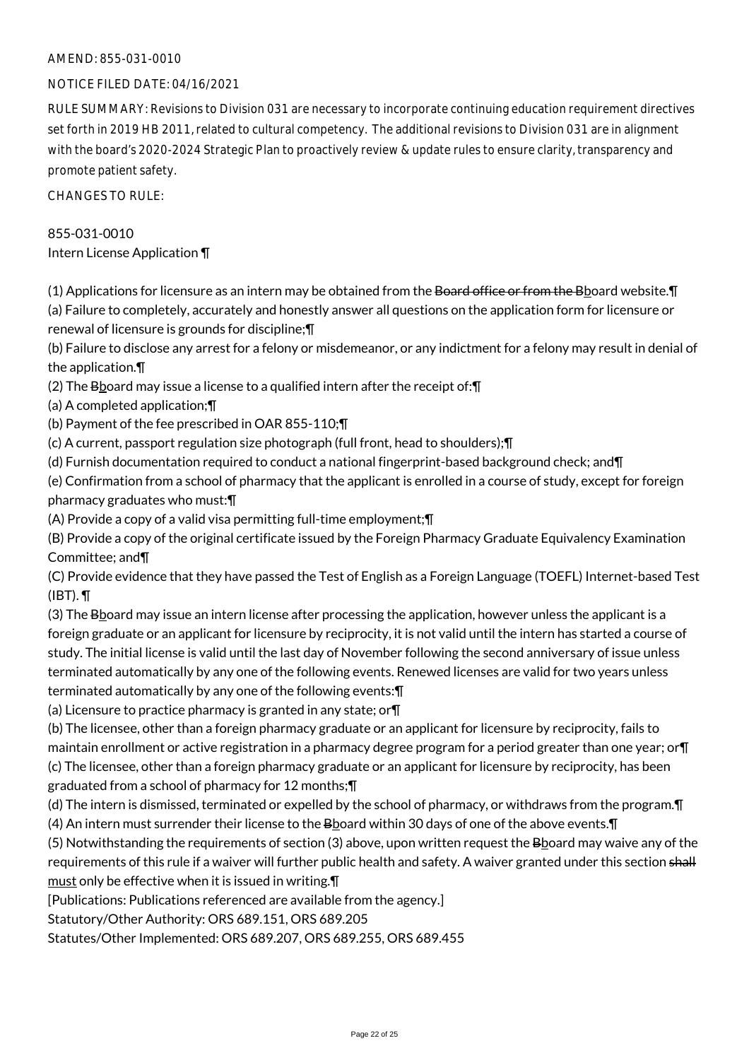#### AMEND: 855-031-0010

#### NOTICE FILED DATE: 04/16/2021

RULE SUMMARY: Revisions to Division 031 are necessary to incorporate continuing education requirement directives set forth in 2019 HB 2011, related to cultural competency. The additional revisions to Division 031 are in alignment with the board's 2020-2024 Strategic Plan to proactively review & update rules to ensure clarity, transparency and promote patient safety.

CHANGES TO RULE:

# 855-031-0010

Intern License Application ¶

 $(1)$  Applications for licensure as an intern may be obtained from the Board office or from the Bboard website. $\P$ (a) Failure to completely, accurately and honestly answer all questions on the application form for licensure or

renewal of licensure is grounds for discipline;¶

(b) Failure to disclose any arrest for a felony or misdemeanor, or any indictment for a felony may result in denial of the application.¶

(2) The  $B_{\text{board}}$  may issue a license to a qualified intern after the receipt of:  $\P$ 

(a) A completed application;¶

(b) Payment of the fee prescribed in OAR 855-110;¶

(c) A current, passport regulation size photograph (full front, head to shoulders);¶

(d) Furnish documentation required to conduct a national fingerprint-based background check; and¶

(e) Confirmation from a school of pharmacy that the applicant is enrolled in a course of study, except for foreign pharmacy graduates who must:¶

(A) Provide a copy of a valid visa permitting full-time employment;¶

(B) Provide a copy of the original certificate issued by the Foreign Pharmacy Graduate Equivalency Examination Committee; and¶

(C) Provide evidence that they have passed the Test of English as a Foreign Language (TOEFL) Internet-based Test  $(IBT)$ .  $\P$ 

(3) The Bboard may issue an intern license after processing the application, however unless the applicant is a foreign graduate or an applicant for licensure by reciprocity, it is not valid until the intern has started a course of study. The initial license is valid until the last day of November following the second anniversary of issue unless terminated automatically by any one of the following events. Renewed licenses are valid for two years unless terminated automatically by any one of the following events:¶

(a) Licensure to practice pharmacy is granted in any state; or¶

(b) The licensee, other than a foreign pharmacy graduate or an applicant for licensure by reciprocity, fails to maintain enrollment or active registration in a pharmacy degree program for a period greater than one year; or¶ (c) The licensee, other than a foreign pharmacy graduate or an applicant for licensure by reciprocity, has been graduated from a school of pharmacy for 12 months;¶

(d) The intern is dismissed, terminated or expelled by the school of pharmacy, or withdraws from the program.¶ (4) An intern must surrender their license to the Bboard within 30 days of one of the above events. [1]

 $(5)$  Notwithstanding the requirements of section  $(3)$  above, upon written request the Board may waive any of the requirements of this rule if a waiver will further public health and safety. A waiver granted under this section shall must only be effective when it is issued in writing.¶

[Publications: Publications referenced are available from the agency.]

Statutory/Other Authority: ORS 689.151, ORS 689.205

Statutes/Other Implemented: ORS 689.207, ORS 689.255, ORS 689.455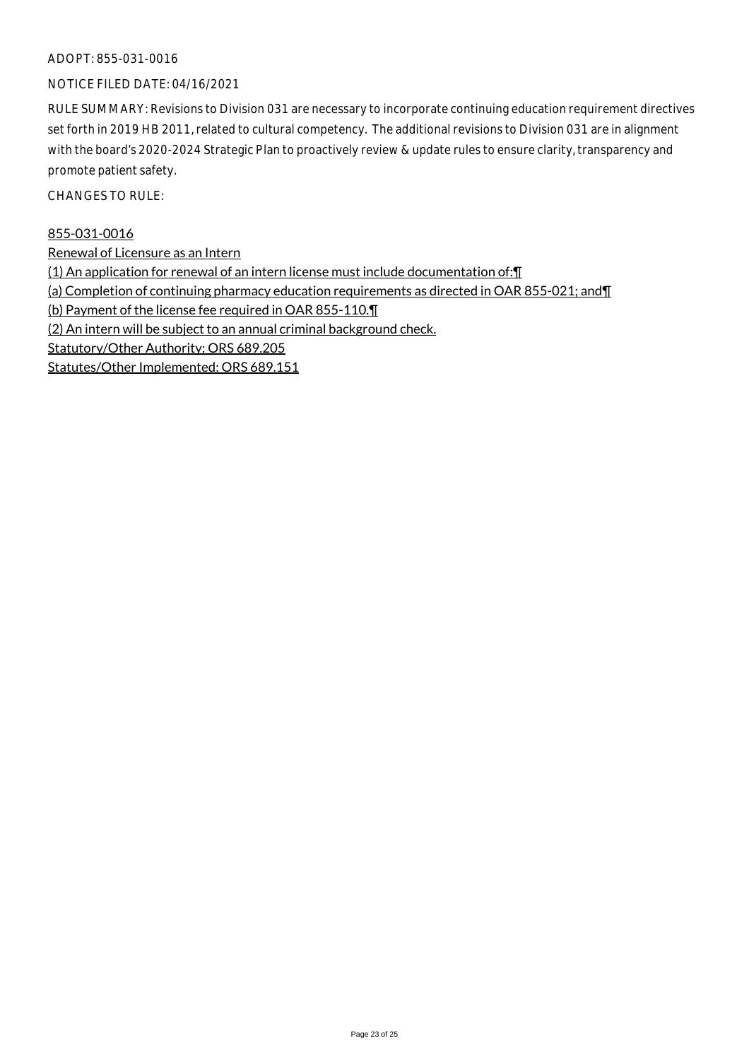#### ADOPT: 855-031-0016

#### NOTICE FILED DATE: 04/16/2021

RULE SUMMARY: Revisions to Division 031 are necessary to incorporate continuing education requirement directives set forth in 2019 HB 2011, related to cultural competency. The additional revisions to Division 031 are in alignment with the board's 2020-2024 Strategic Plan to proactively review & update rules to ensure clarity, transparency and promote patient safety.

CHANGES TO RULE:

#### 855-031-0016

Renewal of Licensure as an Intern (1) An application for renewal of an intern license must include documentation of:¶ (a) Completion of continuing pharmacy education requirements as directed in OAR 855-021; and¶ (b) Payment of the license fee required in OAR 855-110.¶ (2) An intern will be subject to an annual criminal background check. Statutory/Other Authority: ORS 689.205 Statutes/Other Implemented: ORS 689.151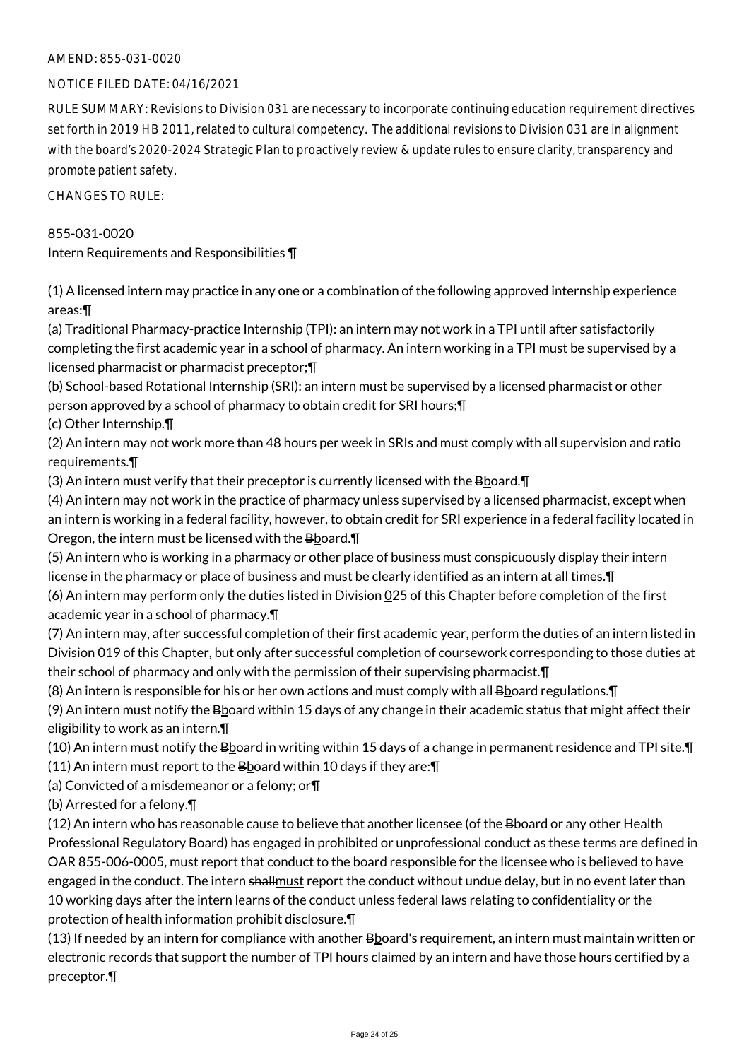#### AMEND: 855-031-0020

#### NOTICE FILED DATE: 04/16/2021

RULE SUMMARY: Revisions to Division 031 are necessary to incorporate continuing education requirement directives set forth in 2019 HB 2011, related to cultural competency. The additional revisions to Division 031 are in alignment with the board's 2020-2024 Strategic Plan to proactively review & update rules to ensure clarity, transparency and promote patient safety.

CHANGES TO RULE:

#### 855-031-0020

Intern Requirements and Responsibilities ¶

(1) A licensed intern may practice in any one or a combination of the following approved internship experience areas:¶

(a) Traditional Pharmacy-practice Internship (TPI): an intern may not work in a TPI until after satisfactorily completing the first academic year in a school of pharmacy. An intern working in a TPI must be supervised by a licensed pharmacist or pharmacist preceptor;¶

(b) School-based Rotational Internship (SRI): an intern must be supervised by a licensed pharmacist or other person approved by a school of pharmacy to obtain credit for SRI hours;¶

(c) Other Internship.¶

(2) An intern may not work more than 48 hours per week in SRIs and must comply with all supervision and ratio requirements.¶

(3) An intern must verify that their preceptor is currently licensed with the  $B\&D$ oard. $\P$ 

(4) An intern may not work in the practice of pharmacy unless supervised by a licensed pharmacist, except when an intern is working in a federal facility, however, to obtain credit for SRI experience in a federal facility located in Oregon, the intern must be licensed with the Bboard. T

(5) An intern who is working in a pharmacy or other place of business must conspicuously display their intern license in the pharmacy or place of business and must be clearly identified as an intern at all times.¶ (6) An intern may perform only the duties listed in Division 025 of this Chapter before completion of the first academic year in a school of pharmacy.¶

(7) An intern may, after successful completion of their first academic year, perform the duties of an intern listed in Division 019 of this Chapter, but only after successful completion of coursework corresponding to those duties at their school of pharmacy and only with the permission of their supervising pharmacist.¶

(8) An intern is responsible for his or her own actions and must comply with all B board regulations. $\P$ 

(9) An intern must notify the Bboard within 15 days of any change in their academic status that might affect their eligibility to work as an intern.¶

(10) An intern must notify the Bboard in writing within 15 days of a change in permanent residence and TPI site.¶

(11) An intern must report to the Bboard within 10 days if they are: $\P$ 

(a) Convicted of a misdemeanor or a felony; or¶

(b) Arrested for a felony.¶

(12) An intern who has reasonable cause to believe that another licensee (of the Bboard or any other Health Professional Regulatory Board) has engaged in prohibited or unprofessional conduct as these terms are defined in OAR 855-006-0005, must report that conduct to the board responsible for the licensee who is believed to have engaged in the conduct. The intern shallmust report the conduct without undue delay, but in no event later than 10 working days after the intern learns of the conduct unless federal laws relating to confidentiality or the protection of health information prohibit disclosure.¶

 $(13)$  If needed by an intern for compliance with another  $B$  board's requirement, an intern must maintain written or electronic records that support the number of TPI hours claimed by an intern and have those hours certified by a preceptor.¶